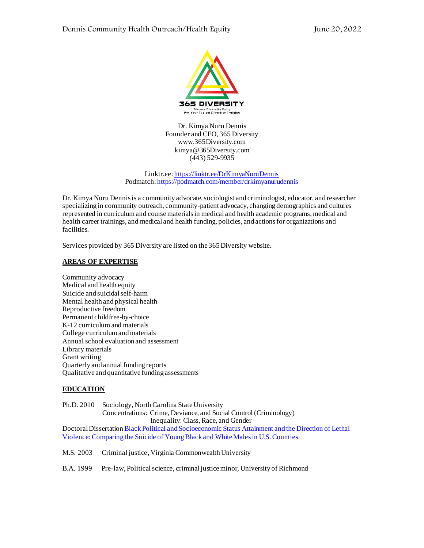

Dr. Kimya Nuru Dennis Founder and CEO, 365 Diversity www.365Diversity.com kimya@365Diversity.com (443) 529-9935

Linktr.ee[: https://linktr.ee/DrKimyaNuruDennis](https://linktr.ee/DrKimyaNuruDennis) Podmatch[: https://podmatch.com/member/drkimyanurudennis](https://podmatch.com/member/drkimyanurudennis)

Dr. Kimya Nuru Dennis is a community advocate, sociologist and criminologist, educator, and researcher specializing in community outreach, community-patient advocacy, changing demographics and cultures represented in curriculum and course materials in medical and health academic programs, medical and health career trainings, and medical and health funding, policies, and actions for organizations and facilities.

Services provided by 365 Diversity are listed on the 365 Diversity website.

## **AREAS OF EXPERTISE**

Community advocacy Medical and health equity Suicide and suicidal self-harm Mental health and physical health Reproductive freedom Permanent childfree-by-choice K-12 curriculum and materials College curriculum and materials Annual school evaluation and assessment Library materials Grant writing Quarterly and annual funding reports Qualitative and quantitative funding assessments

## **EDUCATION**

Ph.D. 2010Sociology, North Carolina State University Concentrations: Crime, Deviance, and Social Control (Criminology) Inequality: Class, Race, and Gender Doctoral Dissertatio[n Black Political and Socioeconomic Status Attainment and the Direction of Lethal](https://repository.lib.ncsu.edu/handle/1840.16/6149)  [Violence: Comparing the Suicide of Young Black and White Males in U.S. Counties](https://repository.lib.ncsu.edu/handle/1840.16/6149)

M.S. 2003 Criminal justice**,** Virginia Commonwealth University

B.A. 1999Pre-law, Political science, criminal justice minor, University of Richmond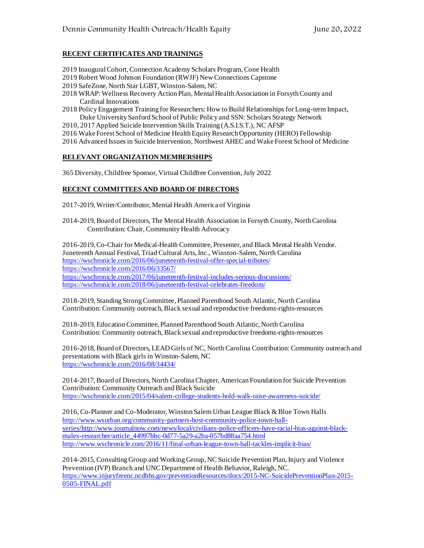# **RECENT CERTIFICATES AND TRAININGS**

- 2019 Inaugural Cohort, Connection Academy Scholars Program, Cone Health
- 2019 Robert Wood Johnson Foundation (RWJF) New Connections Capstone
- 2019 SafeZone, North Star LGBT, Winston-Salem, NC
- 2018 WRAP: Wellness Recovery Action Plan, Mental Health Association in Forsyth County and Cardinal Innovations
- 2018 Policy Engagement Training for Researchers: How to Build Relationships for Long-term Impact, Duke University Sanford School of Public Policy and SSN: Scholars Strategy Network
- 2010, 2017 Applied Suicide Intervention Skills Training (A.S.I.S.T.), NC AFSP
- 2016 Wake Forest School of Medicine Health Equity Research Opportunity (HERO) Fellowship
- 2016 Advanced Issues in Suicide Intervention, Northwest AHEC and Wake Forest School of Medicine

### **RELEVANT ORGANIZATION MEMBERSHIPS**

365 Diversity, Childfree Sponsor, Virtual Childfree Convention, July 2022

### **RECENT COMMITTEES AND BOARD OF DIRECTORS**

2017-2019, Writer/Contributor, Mental Health America of Virginia

2014-2019, Board of Directors, The Mental Health Association in Forsyth County, North Carolina Contribution: Chair, Community Health Advocacy

2016-2019, Co-Chair for Medical-Health Committee, Presenter, and Black Mental Health Vendor. Juneteenth Annual Festival, Triad Cultural Arts, Inc., Winston-Salem, North Carolina <https://wschronicle.com/2016/06/juneteenth-festival-offer-special-tributes/> <https://wschronicle.com/2016/06/33567/> <https://wschronicle.com/2017/06/juneteenth-festival-includes-serious-discussions/> <https://wschronicle.com/2018/06/juneteenth-festival-celebrates-freedom/>

2018-2019, Standing Strong Committee, Planned Parenthood South Atlantic, North Carolina Contribution: Community outreach, Black sexual and reproductive freedoms-rights-resources

2018-2019, Education Committee, Planned Parenthood South Atlantic, North Carolina Contribution: Community outreach, Black sexual and reproductive freedoms-rights-resources

2016-2018, Board of Directors, LEAD Girls of NC, North Carolina Contribution: Community outreach and presentations with Black girls in Winston-Salem, NC <https://wschronicle.com/2016/08/34434/>

2014-2017, Board of Directors, North CarolinaChapter, American Foundation for Suicide Prevention Contribution: Community Outreach and Black Suicide <https://wschronicle.com/2015/04/salem-college-students-hold-walk-raise-awareness-suicide/>

2016, Co-Planner and Co-Moderator, Winston Salem Urban League Black & Blue Town Halls [http://www.wsurban.org/community-partners-host-community-police-town-hall](http://www.wsurban.org/community-partners-host-community-police-town-hall-series/)[series/](http://www.wsurban.org/community-partners-host-community-police-town-hall-series/)[http://www.journalnow.com/news/local/civilians-police-officers-have-racial-bias-against-black](http://www.journalnow.com/news/local/civilians-police-officers-have-racial-bias-against-black-males-researcher/article_44997bbc-0d77-5a29-a2ba-057bd88aa754.html)[males-researcher/article\\_44997bbc-0d77-5a29-a2ba-057bd88aa754.html](http://www.journalnow.com/news/local/civilians-police-officers-have-racial-bias-against-black-males-researcher/article_44997bbc-0d77-5a29-a2ba-057bd88aa754.html) <http://www.wschronicle.com/2016/11/final-urban-league-town-hall-tackles-implicit-bias/>

2014-2015, Consulting Group and Working Group, NC Suicide Prevention Plan, Injury and Violence Prevention (IVP) Branch and UNC Department of Health Behavior, Raleigh, NC. [https://www.injuryfreenc.ncdhhs.gov/preventionResources/docs/2015-NC-SuicidePreventionPlan-2015-](https://www.injuryfreenc.ncdhhs.gov/preventionResources/docs/2015-NC-SuicidePreventionPlan-2015-0505-FINAL.pdf) [0505-FINAL.pdf](https://www.injuryfreenc.ncdhhs.gov/preventionResources/docs/2015-NC-SuicidePreventionPlan-2015-0505-FINAL.pdf)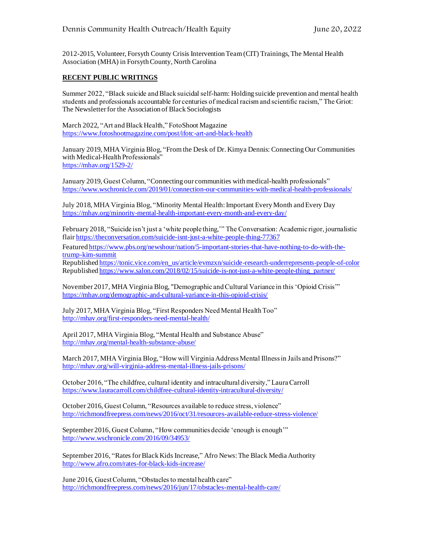2012-2015, Volunteer, Forsyth County Crisis Intervention Team (CIT) Trainings, The Mental Health Association (MHA) in Forsyth County, North Carolina

### **RECENT PUBLIC WRITINGS**

Summer 2022, "Black suicide and Black suicidal self-harm: Holding suicide prevention and mental health students and professionals accountable for centuries of medical racism and scientific racism," The Griot: The Newsletter for the Association of Black Sociologists

March 2022, "Art and Black Health," FotoShoot Magazine <https://www.fotoshootmagazine.com/post/ifotc-art-and-black-health>

January 2019, MHA Virginia Blog, "From the Desk of Dr. Kimya Dennis: Connecting Our Communities with Medical-Health Professionals" <https://mhav.org/1529-2/>

January 2019, Guest Column, "Connecting our communities with medical-health professionals" <https://www.wschronicle.com/2019/01/connection-our-communities-with-medical-health-professionals/>

July 2018, MHA Virginia Blog, "Minority Mental Health: Important Every Month and Every Day <https://mhav.org/minority-mental-health-important-every-month-and-every-day/>

February 2018, "Suicide isn't just a 'white people thing,'" The Conversation: Academic rigor, journalistic flai[r https://theconversation.com/suicide-isnt-just-a-white-people-thing-77367](https://theconversation.com/suicide-isnt-just-a-white-people-thing-77367)

Feature[d https://www.pbs.org/newshour/nation/5-important-stories-that-have-nothing-to-do-with-the](https://www.pbs.org/newshour/nation/5-important-stories-that-have-nothing-to-do-with-the-trump-kim-summit)[trump-kim-summit](https://www.pbs.org/newshour/nation/5-important-stories-that-have-nothing-to-do-with-the-trump-kim-summit)

Republishe[d https://tonic.vice.com/en\\_us/article/evmzxn/suicide-research-underrepresents-people-of-color](https://tonic.vice.com/en_us/article/evmzxn/suicide-research-underrepresents-people-of-color) Republishe[d https://www.salon.com/2018/02/15/suicide-is-not-just-a-white-people-thing\\_partner/](https://www.salon.com/2018/02/15/suicide-is-not-just-a-white-people-thing_partner/)

November 2017, MHA Virginia Blog, "Demographic and Cultural Variance in this 'Opioid Crisis'" <https://mhav.org/demographic-and-cultural-variance-in-this-opioid-crisis/>

July 2017, MHA Virginia Blog, "First Responders Need Mental Health Too" <http://mhav.org/first-responders-need-mental-health/>

April 2017, MHA Virginia Blog, "Mental Health and Substance Abuse" <http://mhav.org/mental-health-substance-abuse/>

March 2017, MHA Virginia Blog, "How will Virginia Address Mental Illness in Jails and Prisons?" <http://mhav.org/will-virginia-address-mental-illness-jails-prisons/>

October 2016, "The childfree, cultural identity and intracultural diversity," Laura Carroll <https://www.lauracarroll.com/childfree-cultural-identity-intracultural-diversity/>

October 2016, Guest Column, "Resources available to reduce stress, violence" <http://richmondfreepress.com/news/2016/oct/31/resources-available-reduce-stress-violence/>

September 2016, Guest Column, "How communities decide 'enough is enough'" <http://www.wschronicle.com/2016/09/34953/>

September 2016, "Rates for Black Kids Increase," Afro News: The Black Media Authority <http://www.afro.com/rates-for-black-kids-increase/>

June 2016, Guest Column, "Obstacles to mental health care" <http://richmondfreepress.com/news/2016/jun/17/obstacles-mental-health-care/>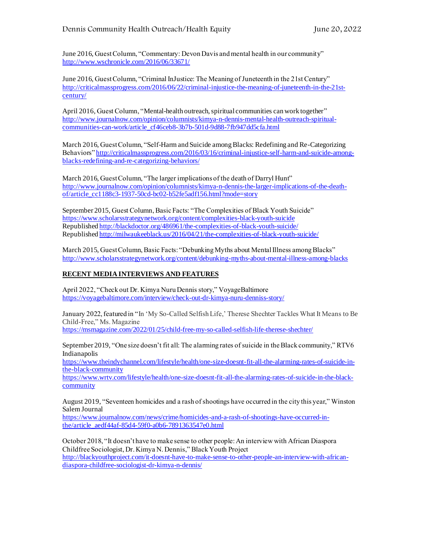June 2016, Guest Column, "Commentary: Devon Davis and mental health in our community" <http://www.wschronicle.com/2016/06/33671/>

June 2016, Guest Column, "Criminal InJustice: The Meaning of Juneteenth in the 21st Century" [http://criticalmassprogress.com/2016/06/22/criminal-injustice-the-meaning-of-juneteenth-in-the-21st](http://criticalmassprogress.com/2016/06/22/criminal-injustice-the-meaning-of-juneteenth-in-the-21st-century/)[century/](http://criticalmassprogress.com/2016/06/22/criminal-injustice-the-meaning-of-juneteenth-in-the-21st-century/)

April 2016, Guest Column, "Mental-health outreach, spiritual communities can work together" [http://www.journalnow.com/opinion/columnists/kimya-n-dennis-mental-health-outreach-spiritual](http://www.journalnow.com/opinion/columnists/kimya-n-dennis-mental-health-outreach-spiritual-communities-can-work/article_cf46ceb8-3b7b-501d-9d88-7fb947dd5cfa.html)[communities-can-work/article\\_cf46ceb8-3b7b-501d-9d88-7fb947dd5cfa.html](http://www.journalnow.com/opinion/columnists/kimya-n-dennis-mental-health-outreach-spiritual-communities-can-work/article_cf46ceb8-3b7b-501d-9d88-7fb947dd5cfa.html)

March 2016, Guest Column, "Self-Harm and Suicide among Blacks: Redefining and Re-Categorizing Behaviors[" http://criticalmassprogress.com/2016/03/16/criminal-injustice-self-harm-and-suicide-among](http://criticalmassprogress.com/2016/03/16/criminal-injustice-self-harm-and-suicide-among-blacks-redefining-and-re-categorizing-behaviors/)[blacks-redefining-and-re-categorizing-behaviors/](http://criticalmassprogress.com/2016/03/16/criminal-injustice-self-harm-and-suicide-among-blacks-redefining-and-re-categorizing-behaviors/)

March 2016, Guest Column, "The larger implications of the death of Darryl Hunt" [http://www.journalnow.com/opinion/columnists/kimya-n-dennis-the-larger-implications-of-the-death](http://www.journalnow.com/opinion/columnists/kimya-n-dennis-the-larger-implications-of-the-death-of/article_cc1188c3-1937-50cd-bc02-b52fe5adf156.html?mode=story)[of/article\\_cc1188c3-1937-50cd-bc02-b52fe5adf156.html?mode=story](http://www.journalnow.com/opinion/columnists/kimya-n-dennis-the-larger-implications-of-the-death-of/article_cc1188c3-1937-50cd-bc02-b52fe5adf156.html?mode=story)

September 2015, Guest Column, Basic Facts: "The Complexities of Black Youth Suicide" <https://www.scholarsstrategynetwork.org/content/complexities-black-youth-suicide> Republishe[d http://blackdoctor.org/486961/the-complexities-of-black-youth-suicide/](http://blackdoctor.org/486961/the-complexities-of-black-youth-suicide/) Republishe[d http://milwaukeeblack.us/2016/04/21/the-complexities-of-black-youth-suicide/](http://milwaukeeblack.us/2016/04/21/the-complexities-of-black-youth-suicide/)

March 2015, Guest Column, Basic Facts: "Debunking Myths about Mental Illness among Blacks" <http://www.scholarsstrategynetwork.org/content/debunking-myths-about-mental-illness-among-blacks>

# **RECENT MEDIA INTERVIEWS AND FEATURES**

April 2022, "Check out Dr. Kimya Nuru Dennis story," VoyageBaltimore <https://voyagebaltimore.com/interview/check-out-dr-kimya-nuru-denniss-story/>

January 2022, featured in "In 'My So-Called Selfish Life,' Therese Shechter Tackles What It Means to Be Child-Free," Ms. Magazine

<https://msmagazine.com/2022/01/25/child-free-my-so-called-selfish-life-therese-shechter/>

September 2019, "One size doesn't fit all: The alarming rates of suicide in the Black community," RTV6 Indianapolis

[https://www.theindychannel.com/lifestyle/health/one-size-doesnt-fit-all-the-alarming-rates-of-suicide-in](https://www.theindychannel.com/lifestyle/health/one-size-doesnt-fit-all-the-alarming-rates-of-suicide-in-the-black-community)[the-black-community](https://www.theindychannel.com/lifestyle/health/one-size-doesnt-fit-all-the-alarming-rates-of-suicide-in-the-black-community)

[https://www.wrtv.com/lifestyle/health/one-size-doesnt-fit-all-the-alarming-rates-of-suicide-in-the-black](https://www.wrtv.com/lifestyle/health/one-size-doesnt-fit-all-the-alarming-rates-of-suicide-in-the-black-community)[community](https://www.wrtv.com/lifestyle/health/one-size-doesnt-fit-all-the-alarming-rates-of-suicide-in-the-black-community)

August 2019, "Seventeen homicides and a rash of shootings have occurred in the city this year," Winston Salem Journal

[https://www.journalnow.com/news/crime/homicides-and-a-rash-of-shootings-have-occurred-in](https://www.journalnow.com/news/crime/homicides-and-a-rash-of-shootings-have-occurred-in-the/article_aedf44af-85d4-59f0-a0b6-7891363547e0.html)[the/article\\_aedf44af-85d4-59f0-a0b6-7891363547e0.html](https://www.journalnow.com/news/crime/homicides-and-a-rash-of-shootings-have-occurred-in-the/article_aedf44af-85d4-59f0-a0b6-7891363547e0.html)

October 2018, "It doesn't have to make sense to other people: An interview with African Diaspora Childfree Sociologist, Dr. Kimya N. Dennis," Black Youth Project [http://blackyouthproject.com/it-doesnt-have-to-make-sense-to-other-people-an-interview-with-african](http://blackyouthproject.com/it-doesnt-have-to-make-sense-to-other-people-an-interview-with-african-diaspora-childfree-sociologist-dr-kimya-n-dennis/)[diaspora-childfree-sociologist-dr-kimya-n-dennis/](http://blackyouthproject.com/it-doesnt-have-to-make-sense-to-other-people-an-interview-with-african-diaspora-childfree-sociologist-dr-kimya-n-dennis/)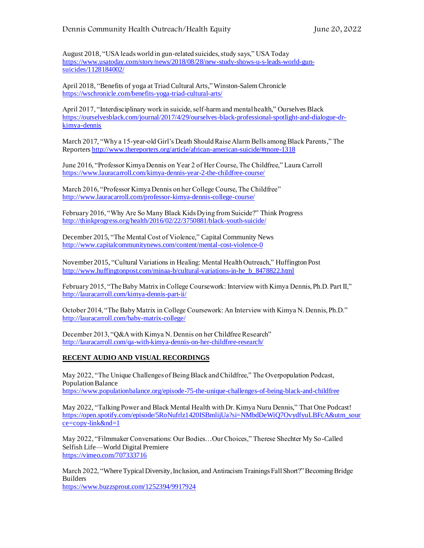August 2018, "USA leads world in gun-related suicides, study says," USA Today [https://www.usatoday.com/story/news/2018/08/28/new-study-shows-u-s-leads-world-gun](https://www.usatoday.com/story/news/2018/08/28/new-study-shows-u-s-leads-world-gun-suicides/1128184002/)[suicides/1128184002/](https://www.usatoday.com/story/news/2018/08/28/new-study-shows-u-s-leads-world-gun-suicides/1128184002/)

April 2018, "Benefits of yoga at Triad Cultural Arts," Winston-Salem Chronicle <https://wschronicle.com/benefits-yoga-triad-cultural-arts/>

April 2017, "Interdisciplinary work in suicide, self-harm and mental health," Ourselves Black [https://ourselvesblack.com/journal/2017/4/29/ourselves-black-professional-spotlight-and-dialogue-dr](https://ourselvesblack.com/journal/2017/4/29/ourselves-black-professional-spotlight-and-dialogue-dr-kimya-dennis)[kimya-dennis](https://ourselvesblack.com/journal/2017/4/29/ourselves-black-professional-spotlight-and-dialogue-dr-kimya-dennis)

March 2017, "Why a 15-year-old Girl's Death Should Raise Alarm Bells among Black Parents," The Reporters <http://www.thereporters.org/article/african-american-suicide/#more-1318>

June 2016, "Professor Kimya Dennis on Year 2 of Her Course, The Childfree," Laura Carroll <https://www.lauracarroll.com/kimya-dennis-year-2-the-childfree-course/>

March 2016, "Professor Kimya Dennis on her College Course, The Childfree" <http://www.lauracarroll.com/professor-kimya-dennis-college-course/>

February 2016, "Why Are So Many Black Kids Dying from Suicide?" Think Progress <http://thinkprogress.org/health/2016/02/22/3750881/black-youth-suicide/>

December 2015, "The Mental Cost of Violence," Capital Community News <http://www.capitalcommunitynews.com/content/mental-cost-violence-0>

November 2015, "Cultural Variations in Healing: Mental Health Outreach," Huffington Post [http://www.huffingtonpost.com/minaa-b/cultural-variations-in-he\\_b\\_8478822.html](http://www.huffingtonpost.com/minaa-b/cultural-variations-in-he_b_8478822.html)

February 2015, "The Baby Matrix in College Coursework: Interview with Kimya Dennis, Ph.D. Part II," <http://lauracarroll.com/kimya-dennis-part-ii/>

October 2014, "The Baby Matrix in College Coursework: An Interview with Kimya N. Dennis, Ph.D." <http://lauracarroll.com/baby-matrix-college/>

December 2013, "Q&A with Kimya N. Dennis on her Childfree Research" <http://lauracarroll.com/qa-with-kimya-dennis-on-her-childfree-research/>

## **RECENT AUDIO AND VISUAL RECORDINGS**

May 2022, "The Unique Challenges of Being Black and Childfree," The Overpopulation Podcast, Population Balance <https://www.populationbalance.org/episode-75-the-unique-challenges-of-being-black-and-childfree>

May 2022, "Talking Power and Black Mental Health with Dr. Kimya Nuru Dennis," That One Podcast! [https://open.spotify.com/episode/5RoNufrlz1420ISBmlijUa?si=NMbdDeWiQ7OvydfyuLBFcA&utm\\_sour](https://open.spotify.com/episode/5RoNufrlz1420ISBmlijUa?si=NMbdDeWiQ7OvydfyuLBFcA&utm_source=copy-link&nd=1) [ce=copy-link&nd=1](https://open.spotify.com/episode/5RoNufrlz1420ISBmlijUa?si=NMbdDeWiQ7OvydfyuLBFcA&utm_source=copy-link&nd=1)

May 2022, "Filmmaker Conversations: Our Bodies…Our Choices," Therese Shechter My So-Called Selfish Life—World Digital Premiere <https://vimeo.com/707333716>

March 2022, "Where Typical Diversity, Inclusion, and Antiracism Trainings Fall Short?" Becoming Bridge Builders

<https://www.buzzsprout.com/1252394/9917924>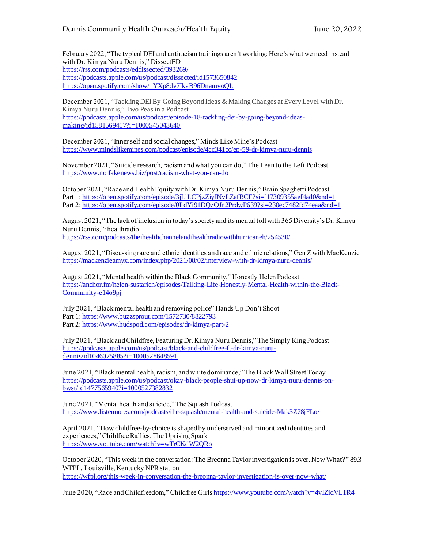February 2022, "The typical DEI and antiracism trainings aren't working: Here's what we need instead with Dr. Kimya Nuru Dennis," DissectED <https://rss.com/podcasts/eddissected/393269/> <https://podcasts.apple.com/us/podcast/dissected/id1573650842> <https://open.spotify.com/show/1YXp8dv7IkaB96DnamyoQL>

December 2021, "Tackling DEI By Going Beyond Ideas & Making Changes at Every Level with Dr. Kimya Nuru Dennis," Two Peas in a Podcast [https://podcasts.apple.com/us/podcast/episode-18-tackling-dei-by-going-beyond-ideas](https://podcasts.apple.com/us/podcast/episode-18-tackling-dei-by-going-beyond-ideas-making/id1581569417?i=1000545043640)[making/id1581569417?i=1000545043640](https://podcasts.apple.com/us/podcast/episode-18-tackling-dei-by-going-beyond-ideas-making/id1581569417?i=1000545043640)

December 2021, "Inner self and social changes," Minds Like Mine's Podcast <https://www.mindslikemines.com/podcast/episode/4cc341cc/ep-59-dr-kimya-nuru-dennis>

November 2021, "Suicide research, racism and what you can do," The Lean to the Left Podcast <https://www.notfakenews.biz/post/racism-what-you-can-do>

October 2021, "Race and Health Equity with Dr. Kimya Nuru Dennis," Brain Spaghetti Podcast Part 1: https://open.spotify.com/episode/3jLILCPjzZiyINvLZafBCE?si=f17309355aef4ad0&nd=1 Part 2:<https://open.spotify.com/episode/0LdYi91DQzOJn2PrdwP639?si=230ec7482fd74eaa&nd=1>

August 2021, "The lack of inclusion in today's society and its mental toll with 365 Diversity's Dr. Kimya Nuru Dennis," ihealthradio <https://rss.com/podcasts/theihealthchannelandihealthradiowithhurricaneh/254530/>

August 2021, "Discussing race and ethnic identities and race and ethnic relations," Gen Z with MacKenzie <https://mackenzieamyx.com/index.php/2021/08/02/interview-with-dr-kimya-nuru-dennis/>

August 2021, "Mental health within the Black Community," Honestly Helen Podcast [https://anchor.fm/helen-sustarich/episodes/Talking-Life-Honestly-Mental-Health-within-the-Black-](https://anchor.fm/helen-sustarich/episodes/Talking-Life-Honestly-Mental-Health-within-the-Black-Community-e14o9pj)[Community-e14o9pj](https://anchor.fm/helen-sustarich/episodes/Talking-Life-Honestly-Mental-Health-within-the-Black-Community-e14o9pj)

July 2021, "Black mental health and removing police" Hands Up Don't Shoot Part 1:<https://www.buzzsprout.com/1572730/8822793> Part 2:<https://www.hudspod.com/episodes/dr-kimya-part-2>

July 2021, "Black and Childfree, Featuring Dr. Kimya Nuru Dennis," The Simply King Podcast [https://podcasts.apple.com/us/podcast/black-and-childfree-ft-dr-kimya-nuru](https://podcasts.apple.com/us/podcast/black-and-childfree-ft-dr-kimya-nuru-dennis/id1046075885?i=1000528648591)[dennis/id1046075885?i=1000528648591](https://podcasts.apple.com/us/podcast/black-and-childfree-ft-dr-kimya-nuru-dennis/id1046075885?i=1000528648591)

June 2021, "Black mental health, racism, and white dominance," The Black Wall Street Today [https://podcasts.apple.com/us/podcast/okay-black-people-shut-up-now-dr-kimya-nuru-dennis-on](https://podcasts.apple.com/us/podcast/okay-black-people-shut-up-now-dr-kimya-nuru-dennis-on-bwst/id1477565940?i=1000527382832)[bwst/id1477565940?i=1000527382832](https://podcasts.apple.com/us/podcast/okay-black-people-shut-up-now-dr-kimya-nuru-dennis-on-bwst/id1477565940?i=1000527382832)

June 2021, "Mental health and suicide," The Squash Podcast <https://www.listennotes.com/podcasts/the-squash/mental-health-and-suicide-Mak3Z78jFLo/>

April 2021, "How childfree-by-choice is shaped by underserved and minoritized identities and experiences," Childfree Rallies, The Uprising Spark <https://www.youtube.com/watch?v=wTrCKdW2QRo>

October 2020, "This week in the conversation: The Breonna Taylor investigation is over. Now What?" 89.3 WFPL, Louisville, Kentucky NPR station <https://wfpl.org/this-week-in-conversation-the-breonna-taylor-investigation-is-over-now-what/>

June 2020, "Race and Childfreedom," Childfree Girl[s https://www.youtube.com/watch?v=4vIZidVL1R4](https://www.youtube.com/watch?v=4vIZidVL1R4)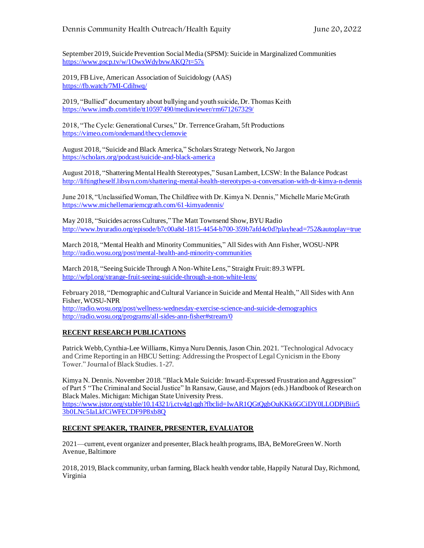September 2019, Suicide Prevention Social Media (SPSM): Suicide in Marginalized Communities <https://www.pscp.tv/w/1OwxWdybvwAKQ?t=57s>

2019, FB Live, American Association of Suicidology (AAS) <https://fb.watch/7MI-Cdihwq/>

2019, "Bullied" documentary about bullying and youth suicide, Dr. Thomas Keith <https://www.imdb.com/title/tt10597490/mediaviewer/rm671267329/>

2018, "The Cycle: Generational Curses," Dr. Terrence Graham, 5ft Productions <https://vimeo.com/ondemand/thecyclemovie>

August 2018, "Suicide and Black America," Scholars Strategy Network, No Jargon <https://scholars.org/podcast/suicide-and-black-america>

August 2018, "Shattering Mental Health Stereotypes," Susan Lambert, LCSW: In the Balance Podcast <http://liftingtheself.libsyn.com/shattering-mental-health-stereotypes-a-conversation-with-dr-kimya-n-dennis>

June 2018, "Unclassified Woman, The Childfree with Dr. Kimya N. Dennis," Michelle Marie McGrath <https://www.michellemariemcgrath.com/61-kimyadennis/>

May 2018, "Suicides across Cultures," The Matt Townsend Show, BYU Radio <http://www.byuradio.org/episode/b7c00a8d-1815-4454-b700-359b7afd4c0d?playhead=752&autoplay=true>

March 2018, "Mental Health and Minority Communities," All Sides with Ann Fisher, WOSU-NPR <http://radio.wosu.org/post/mental-health-and-minority-communities>

March 2018, "Seeing Suicide Through A Non-White Lens," Straight Fruit: 89.3 WFPL <http://wfpl.org/strange-fruit-seeing-suicide-through-a-non-white-lens/>

February 2018, "Demographic and Cultural Variance in Suicide and Mental Health,"All Sides with Ann Fisher, WOSU-NPR <http://radio.wosu.org/post/wellness-wednesday-exercise-science-and-suicide-demographics> <http://radio.wosu.org/programs/all-sides-ann-fisher#stream/0>

## **RECENT RESEARCH PUBLICATIONS**

Patrick Webb, Cynthia-Lee Williams, Kimya Nuru Dennis, Jason Chin. 2021. "Technological Advocacy and Crime Reporting in an HBCU Setting: Addressing the Prospect of Legal Cynicism in the Ebony Tower." Journal of Black Studies. 1-27.

Kimya N. Dennis. November 2018. "Black Male Suicide: Inward-Expressed Frustration and Aggression" of Part 5 "The Criminal and Social Justice" In Ransaw, Gause, and Majors (eds.) Handbook of Research on Black Males. Michigan: Michigan State University Press. [https://www.jstor.org/stable/10.14321/j.ctv4g1qgh?fbclid=IwAR1QGtQgbOuKKk6GCiDY0LLODPjBiir5](https://www.jstor.org/stable/10.14321/j.ctv4g1qgh?fbclid=IwAR1QGtQgbOuKKk6GCiDY0LLODPjBiir53b0LNc5IaLkfCiWFECDF9P8xb8Q) [3b0LNc5IaLkfCiWFECDF9P8xb8Q](https://www.jstor.org/stable/10.14321/j.ctv4g1qgh?fbclid=IwAR1QGtQgbOuKKk6GCiDY0LLODPjBiir53b0LNc5IaLkfCiWFECDF9P8xb8Q)

## **RECENT SPEAKER, TRAINER, PRESENTER, EVALUATOR**

2021—current, event organizer and presenter, Black health programs, IBA, BeMoreGreen W. North Avenue, Baltimore

2018, 2019, Black community, urban farming, Black health vendor table, Happily Natural Day, Richmond, Virginia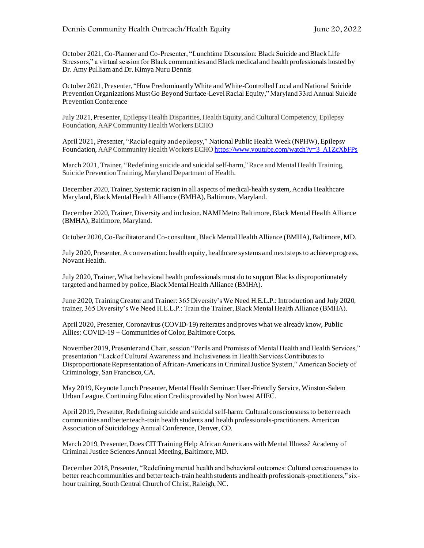October 2021, Co-Planner and Co-Presenter, "Lunchtime Discussion: Black Suicide and Black Life Stressors," a virtual session for Black communities and Black medical and health professionals hosted by Dr. Amy Pulliam and Dr. Kimya Nuru Dennis

October 2021, Presenter, "How Predominantly White and White-Controlled Local and National Suicide Prevention Organizations Must Go Beyond Surface-Level Racial Equity," Maryland 33rd Annual Suicide Prevention Conference

July 2021, Presenter, Epilepsy Health Disparities, Health Equity, and Cultural Competency, Epilepsy Foundation, AAP Community Health Workers ECHO

April 2021, Presenter, "Racial equity and epilepsy," National Public Health Week (NPHW), Epilepsy Foundation, AAP Community Health Workers ECH[O https://www.youtube.com/watch?v=3\\_A1ZcXbFPs](https://www.youtube.com/watch?v=3_A1ZcXbFPs)

March 2021, Trainer, "Redefining suicide and suicidal self-harm,"Race and Mental Health Training, Suicide Prevention Training, Maryland Department of Health.

December 2020, Trainer, Systemic racism in all aspects of medical-health system, Acadia Healthcare Maryland, Black Mental Health Alliance (BMHA), Baltimore, Maryland.

December 2020, Trainer, Diversity and inclusion. NAMI Metro Baltimore, Black Mental Health Alliance (BMHA), Baltimore, Maryland.

October 2020, Co-Facilitator and Co-consultant, Black Mental Health Alliance (BMHA), Baltimore, MD.

July 2020, Presenter, A conversation: health equity, healthcare systems and nextsteps to achieve progress, Novant Health.

July 2020, Trainer, What behavioral health professionals must do to support Blacks disproportionately targeted and harmed by police, Black Mental Health Alliance (BMHA).

June 2020, Training Creator and Trainer: 365 Diversity's We Need H.E.L.P.: Introduction and July 2020, trainer, 365 Diversity's We Need H.E.L.P.: Train the Trainer, Black Mental Health Alliance (BMHA).

April 2020, Presenter, Coronavirus (COVID-19) reiterates and proves what we already know, Public Allies: COVID-19 + Communities of Color, Baltimore Corps.

November 2019, Presenter and Chair, session "Perils and Promises of Mental Health and Health Services," presentation "Lack of Cultural Awareness and Inclusiveness in Health Services Contributes to Disproportionate Representation of African-Americans in Criminal Justice System," American Society of Criminology, San Francisco, CA.

May 2019, Keynote Lunch Presenter, Mental Health Seminar: User-Friendly Service, Winston-Salem Urban League, Continuing Education Credits provided by Northwest AHEC.

April 2019, Presenter, Redefining suicide and suicidal self-harm: Cultural consciousness to better reach communities and better teach-train health students and health professionals-practitioners. American Association of Suicidology Annual Conference, Denver, CO.

March 2019, Presenter, Does CIT Training Help African Americans with Mental Illness? Academy of Criminal Justice Sciences Annual Meeting, Baltimore, MD.

December 2018, Presenter, "Redefining mental health and behavioral outcomes: Cultural consciousness to better reach communities and better teach-train health students and health professionals-practitioners," sixhour training, South Central Church of Christ, Raleigh, NC.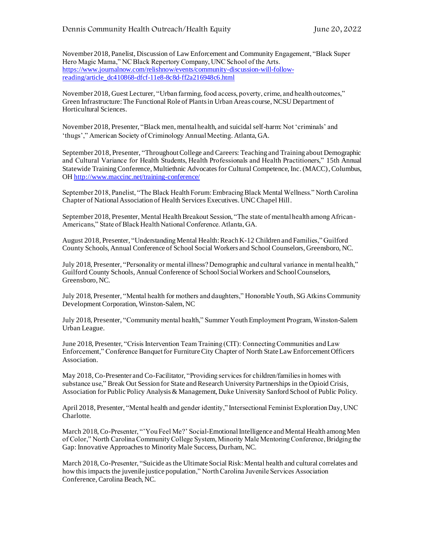November 2018, Panelist, Discussion of Law Enforcement and Community Engagement, "Black Super Hero Magic Mama," NC Black Repertory Company, UNC School of the Arts. [https://www.journalnow.com/relishnow/events/community-discussion-will-follow](https://www.journalnow.com/relishnow/events/community-discussion-will-follow-reading/article_dc410868-dfcf-11e8-8c8d-ff2a216948c6.html)[reading/article\\_dc410868-dfcf-11e8-8c8d-ff2a216948c6.html](https://www.journalnow.com/relishnow/events/community-discussion-will-follow-reading/article_dc410868-dfcf-11e8-8c8d-ff2a216948c6.html)

November 2018, Guest Lecturer, "Urban farming, food access, poverty, crime, and health outcomes," Green Infrastructure: The Functional Role of Plants in Urban Areas course, NCSU Department of Horticultural Sciences.

November 2018, Presenter, "Black men, mental health, and suicidal self-harm: Not 'criminals' and 'thugs'," American Society of Criminology Annual Meeting. Atlanta, GA.

September 2018, Presenter, "Throughout College and Careers: Teaching and Training about Demographic and Cultural Variance for Health Students, Health Professionals and Health Practitioners," 15th Annual Statewide Training Conference, Multiethnic Advocates for Cultural Competence, Inc. (MACC), Columbus, OH<http://www.maccinc.net/training-conference/>

September 2018, Panelist, "The Black Health Forum: Embracing Black Mental Wellness." North Carolina Chapter of National Association of Health Services Executives. UNC Chapel Hill.

September 2018, Presenter, Mental Health Breakout Session, "The state of mental health among African-Americans," State of Black Health National Conference. Atlanta, GA.

August 2018, Presenter, "Understanding Mental Health: Reach K-12 Children and Families," Guilford County Schools, Annual Conference of School Social Workers and School Counselors, Greensboro, NC.

July 2018, Presenter, "Personality or mental illness? Demographic and cultural variance in mental health," Guilford County Schools, Annual Conference of School Social Workers and School Counselors, Greensboro, NC.

July 2018, Presenter, "Mental health for mothers and daughters," Honorable Youth, SG Atkins Community Development Corporation, Winston-Salem, NC

July 2018, Presenter, "Community mental health," Summer Youth Employment Program, Winston-Salem Urban League.

June 2018, Presenter, "Crisis Intervention Team Training (CIT): Connecting Communities and Law Enforcement," Conference Banquet for Furniture City Chapter of North State Law Enforcement Officers Association.

May 2018, Co-Presenter and Co-Facilitator, "Providing services for children/families in homes with substance use," Break Out Session for State and Research University Partnerships in the Opioid Crisis, Association for Public Policy Analysis & Management, Duke University Sanford School of Public Policy.

April 2018, Presenter, "Mental health and gender identity," Intersectional Feminist Exploration Day, UNC Charlotte.

March 2018, Co-Presenter, "'You Feel Me?' Social-Emotional Intelligence and Mental Health among Men of Color," North Carolina Community College System, Minority Male Mentoring Conference, Bridging the Gap: Innovative Approaches to Minority Male Success, Durham, NC.

March 2018, Co-Presenter, "Suicide as the Ultimate Social Risk: Mental health and cultural correlates and how this impacts the juvenile justice population," North Carolina Juvenile Services Association Conference, Carolina Beach, NC.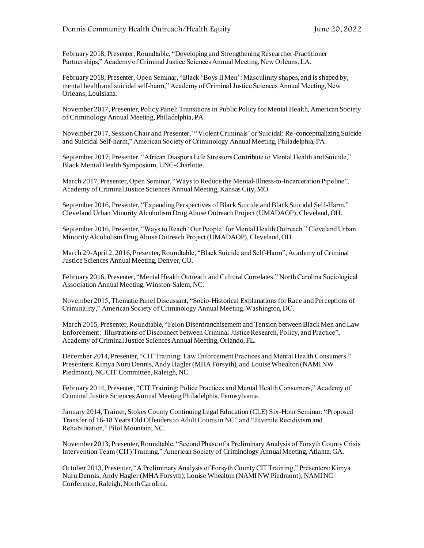February 2018, Presenter, Roundtable, "Developing and Strengthening Researcher-Practitioner Partnerships," Academy of Criminal Justice Sciences Annual Meeting, New Orleans, LA.

February 2018, Presenter, Open Seminar, "Black 'Boys II Men': Masculinity shapes, and is shaped by, mental health and suicidal self-harm," Academy of Criminal Justice Sciences Annual Meeting, New Orleans, Louisiana.

November 2017, Presenter, Policy Panel: Transitions in Public Policy for Mental Health, American Society of Criminology Annual Meeting, Philadelphia, PA.

November 2017, Session Chair and Presenter, "'Violent Criminals' or Suicidal: Re-conceptualizing Suicide and Suicidal Self-harm," American Society of Criminology Annual Meeting, Philadelphia, PA.

September 2017, Presenter, "African Diaspora Life Stressors Contribute to Mental Health and Suicide," Black Mental Health Symposium, UNC-Charlotte.

March 2017, Presenter, Open Seminar, "Ways to Reduce the Mental-Illness-to-Incarceration Pipeline", Academy of Criminal Justice Sciences Annual Meeting, Kansas City, MO.

September 2016, Presenter, "Expanding Perspectives of Black Suicide and Black Suicidal Self-Harm." Cleveland Urban Minority Alcoholism Drug Abuse Outreach Project (UMADAOP), Cleveland, OH.

September 2016, Presenter, "Ways to Reach 'Our People' for Mental Health Outreach." Cleveland Urban Minority Alcoholism Drug Abuse Outreach Project (UMADAOP), Cleveland, OH.

March 29-April 2, 2016, Presenter, Roundtable, "Black Suicide and Self-Harm", Academy of Criminal Justice Sciences Annual Meeting, Denver, CO.

February 2016, Presenter, "Mental Health Outreach and Cultural Correlates." North Carolina Sociological Association Annual Meeting. Winston-Salem, NC.

November 2015, Thematic Panel Discussant, "Socio-Historical Explanations for Race and Perceptions of Criminality," American Society of Criminology Annual Meeting. Washington, DC.

March 2015, Presenter, Roundtable, "Felon Disenfranchisement and Tension between Black Men and Law Enforcement: Illustrations of Disconnect between Criminal Justice Research, Policy, and Practice", Academy of Criminal Justice Sciences Annual Meeting, Orlando, FL.

December 2014, Presenter, "CIT Training: Law Enforcement Practices and Mental Health Consumers." Presenters: Kimya Nuru Dennis, Andy Hagler (MHA Forsyth), and Louise Whealton (NAMI NW Piedmont), NC CIT Committee, Raleigh, NC.

February 2014, Presenter, "CIT Training: Police Practices and Mental Health Consumers," Academy of Criminal Justice Sciences Annual Meeting Philadelphia, Pennsylvania.

January 2014, Trainer, Stokes County Continuing Legal Education (CLE) Six-Hour Seminar: "Proposed Transfer of 16-18 Years Old Offenders to Adult Courts in NC" and "Juvenile Recidivism and Rehabilitation," Pilot Mountain, NC.

November 2013, Presenter, Roundtable, "Second Phase of a Preliminary Analysis of Forsyth County Crisis Intervention Team (CIT) Training," American Society of Criminology Annual Meeting, Atlanta, GA.

October 2013, Presenter, "A Preliminary Analysis of Forsyth County CIT Training," Presenters: Kimya Nuru Dennis, Andy Hagler (MHA Forsyth), Louise Whealton (NAMI NW Piedmont), NAMI NC Conference, Raleigh, North Carolina.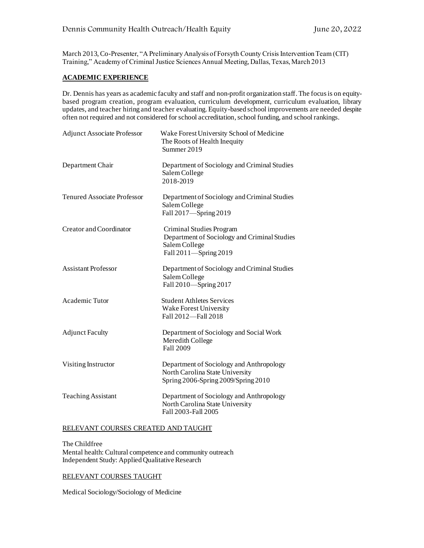March 2013, Co-Presenter, "A Preliminary Analysis of Forsyth County Crisis Intervention Team (CIT) Training," Academy of Criminal Justice Sciences Annual Meeting, Dallas, Texas, March 2013

### **ACADEMIC EXPERIENCE**

Dr. Dennis has years as academic faculty and staff and non-profit organization staff. The focusis on equitybased program creation, program evaluation, curriculum development, curriculum evaluation, library updates, and teacher hiring and teacher evaluating. Equity-based school improvements are needed despite often not required and not considered for school accreditation, school funding, and school rankings.

| <b>Adjunct Associate Professor</b> | Wake Forest University School of Medicine<br>The Roots of Health Inequity<br>Summer 2019                           |
|------------------------------------|--------------------------------------------------------------------------------------------------------------------|
| Department Chair                   | Department of Sociology and Criminal Studies<br>Salem College<br>2018-2019                                         |
| <b>Tenured Associate Professor</b> | Department of Sociology and Criminal Studies<br>Salem College<br>Fall 2017-Spring 2019                             |
| Creator and Coordinator            | Criminal Studies Program<br>Department of Sociology and Criminal Studies<br>Salem College<br>Fall 2011-Spring 2019 |
| <b>Assistant Professor</b>         | Department of Sociology and Criminal Studies<br>Salem College<br>Fall 2010-Spring 2017                             |
| Academic Tutor                     | <b>Student Athletes Services</b><br>Wake Forest University<br>Fall 2012-Fall 2018                                  |
| <b>Adjunct Faculty</b>             | Department of Sociology and Social Work<br>Meredith College<br>Fall 2009                                           |
| Visiting Instructor                | Department of Sociology and Anthropology<br>North Carolina State University<br>Spring 2006-Spring 2009/Spring 2010 |
| <b>Teaching Assistant</b>          | Department of Sociology and Anthropology<br>North Carolina State University<br>Fall 2003-Fall 2005                 |

#### RELEVANT COURSES CREATED AND TAUGHT

The Childfree Mental health: Cultural competence and community outreach Independent Study: Applied Qualitative Research

### RELEVANT COURSES TAUGHT

Medical Sociology/Sociology of Medicine